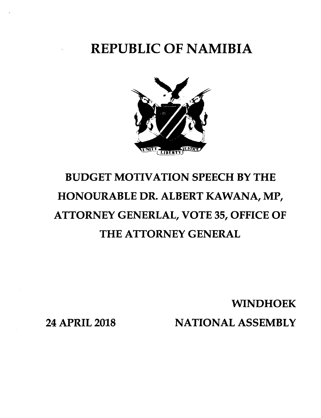REPUBLIC OF NAMIBIA



# BUDGET MOTIVATION SPEECH BY THE HONOURABLE DR. ALBERT KAWANA, MP, ATTORNEY GENERLAL, VOTE 35, OFFICE OF THE ATTORNEY GENERAL

WINDHOEK

24 APRIL 2018

NATIONAL ASSEMBLY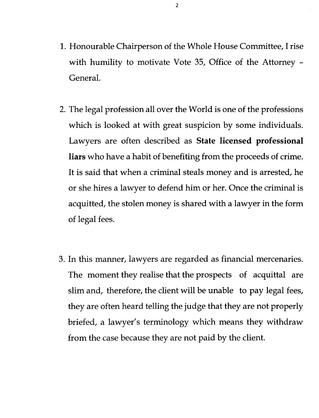- 1. Honourable Chairperson of the Whole House Committee, I rise with humility to motivate Vote 35, Office of the Attorney - General.
- 2. The legal profession all over the World is one of the professions which is looked at with great suspicion by some individuals. Lawyers are often described as **State licensed professional liars** who have a habit of benefiting from the proceeds of crime. It is said that when a criminal steals money and is arrested, he or she hires a lawyer to defend him or her. Once the criminal is acquitted, the stolen money is shared with a lawyer in the form of legal fees.
- 3. In this manner, lawyers are regarded as financial mercenaries. The moment they realise that the prospects of acquittal are slim and, therefore, the client will be unable to pay legal fees, they are often heard telling the judge that they are not properly briefed, a lawyer's terminology which means they withdraw from the case because they are not paid by the client.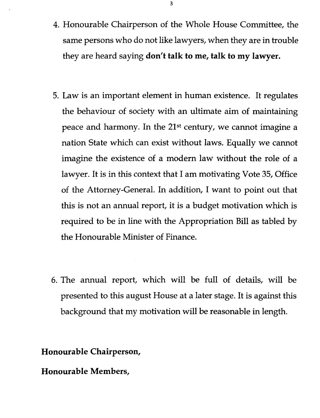- 4. Honourable Chairperson of the Whole House Committee, the same persons who do not like lawyers, when they are in trouble they are heard saying **don't talk to me, talk to my lawyer.**
- 5. Law is an important element in human existence. It regulates the behaviour of society with an ultimate aim of maintaining peace and harmony. In the 21st century, we cannot imagine a nation State which can exist without laws. Equally we cannot imagine the existence of a modern law without the role of a lawyer. It is in this context that I am motivating Vote 35, Office of the Attorney-General. In addition, I want to point out that this is not an annual report, it is a budget motivation which is required to be in line with the Appropriation Bill as tabled by the Honourable Minister of Finance.
- 6. The annual report, which will be full of details, will be presented to this august House at a later stage. It is against this background that my motivation will be reasonable in length.

**Honourable Chairperson,**

**Honourable Members,**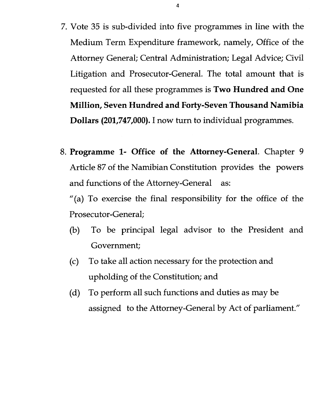- 7. Vote 35 is sub-divided into five programmes in line with the Medium Term Expenditure framework, namely, Office of the Attorney General; Central Administration; Legal Advice; Civil Litigation and Prosecutor-General. The total amount that is requested for all these programmes is **Two Hundred and One Million, Seven Hundred and Forty-Seven Thousand Namibia Dollars (201,747,000).I** now turn to individual programmes.
- 8. **Programme 1- Office of the Attorney-General.** Chapter 9 Article 87 of the Namibian Constitution provides the powers and functions of the Attorney-General as:

"(a) To exercise the final responsibility for the office of the Prosecutor-General;

- (b) To be principal legal advisor to the President and Government;
- (c) To take all action necessary for the protection and upholding of the Constitution; and
- (d) To perform all such functions and duties as may be assigned to the Attorney-General by Act of parliament."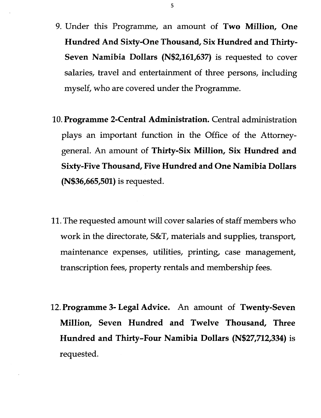- 9. Under this Programme, an amount of **Two Million, One Hundred And Sixty-One Thousand, Six Hundred and Thirty-Seven Namibia Dollars (N\$2,161,637)** is requested to cover salaries, travel and entertainment of three persons, including myself, who are covered under the Programme.
- 10.**Programme 2-Central Administration.** Central administration plays an important function in the Office of the Attorneygeneral. An amount of **Thirty-Six Million, Six Hundred and Sixty-Five Thousand, Five Hundred and One Namibia Dollars (N\$36,665,501)** is requested.
- 11.The requested amount will cover salaries of staff members who work in the directorate,  $S\&T$ , materials and supplies, transport, maintenance expenses, utilities, printing, case management, transcription fees, property rentals and membership fees.
- 12.**Programme 3- Legal Advice.** An amount of **Twenty-Seven Million, Seven Hundred and Twelve Thousand, Three Hundred and Thirty-Four Namibia Dollars (N\$27,712,334)** is requested.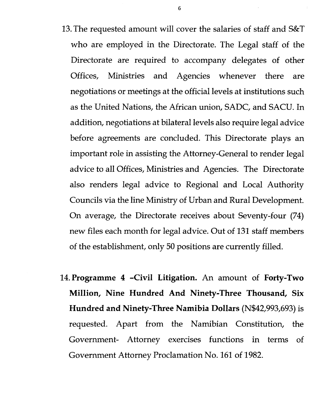- 13.The requested amount will cover the salaries of staff and S&T who are employed in the Directorate. The Legal staff of the Directorate are required to accompany delegates of other Offices, Ministries and Agencies whenever there are negotiations or meetings at the official levels at institutions such as the United Nations, the African union, SADC, and SACU.In addition, negotiations at bilateral levels also require legal advice before agreements are concluded. This Directorate plays an important role in assisting the Attorney-General to render legal advice to all Offices, Ministries and Agencies. The Directorate also renders legal advice to Regional and Local Authority Councils via the line Ministry of Urban and Rural Development. On average, the Directorate receives about Seventy-four (74) new files each month for legal advice. Out of 131 staff members of the establishment, only 50 positions are currently filled.
- 14.**Programme 4 -Civil Litigation.** An amount of **Forty-Two Million, Nine Hundred And Ninety-Three Thousand, Six Hundred and Ninety-Three Namibia Dollars** (N\$42,993,693) is requested. Apart from the Namibian Constitution, the Government- Attorney exercises functions in terms of Government Attorney Proclamation No. 161 of 1982.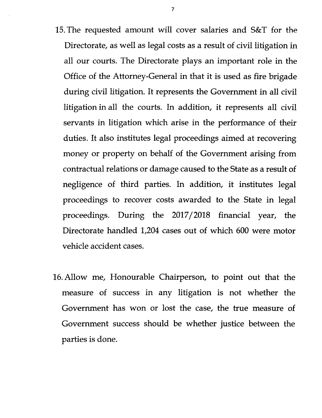- 15.The requested amount will cover salaries and S&T for the Directorate, as well as legal costs as a result of civil litigation in all our courts. The Directorate plays an important role in the Office of the Attorney-General in that it is used as fire brigade during civil litigation. It represents the Government in all civil litigation in all the courts. In addition, it represents all civil servants in litigation which arise in the performance of their duties. It also institutes legal proceedings aimed at recovering money or property on behalf of the Government arising from contractual relations or damage caused to the State as a result of negligence of third parties. In addition, it institutes legal proceedings to recover costs awarded to the State in legal proceedings. During the 2017/2018 financial year, the Directorate handled 1,204 cases out of which 600 were motor vehicle accident cases.
- 16.Allow me, Honourable Chairperson, to point out that the measure of success in any litigation is not whether the Government has won or lost the case, the true measure of Government success should be whether justice between the parties is done.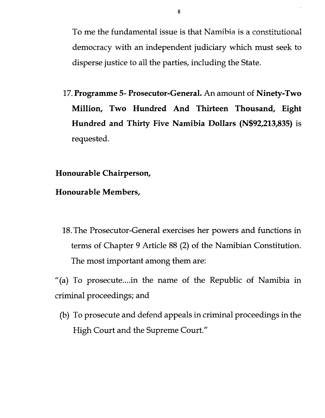To me the fundamental issue is that Namibia is a constitutional democracy with an independent judiciary which must seek to disperse justice to all the parties, including the State.

17.**Programme 5- Prosecutor-General.** An amount of **Ninety-Two Million, Two Hundred And Thirteen Thousand, Eight Hundred and Thirty Five Namibia Dollars (N\$92,213,835)** is requested.

### **Honourable Chairperson,**

#### **Honourable Members,**

18.The Prosecutor-General exercises her powers and functions in terms of Chapter 9 Article 88 (2) of the Namibian Constitution. The most important among them are:

"(a) To prosecute  $\ldots$  in the name of the Republic of Namibia in criminal proceedings; and

(b) To prosecute and defend appeals in criminal proceedings in the High Court and the Supreme Court."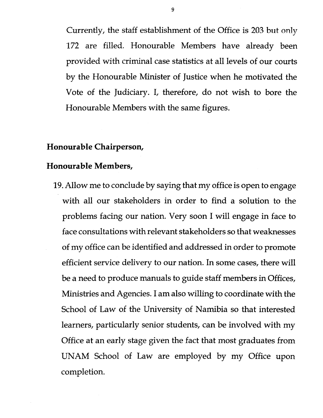Currently, the staff establishment of the Office is 203 but only 172 are filled. Honourable Members have already been provided with criminal case statistics at all levels of our courts by the Honourable Minister of Justice when he motivated the Vote of the Judiciary. I, therefore, do not wish to bore the Honourable Members with the same figures.

## **Honourable Chairperson,**

#### **Honourable Members,**

19.Allow me to conclude by saying that my office is open to engage with all our stakeholders in order to find a solution to the problems facing our nation. Very soon I will engage in face to face consultations with relevant stakeholders so that weaknesses of my office can be identified and addressed in order to promote efficient service delivery to our nation. In some cases, there will be a need to produce manuals to guide staff members in Offices, Ministries and Agencies. I am also willing to coordinate with the School of Law of the University of Namibia so that interested learners, particularly senior students, can be involved with my Office at an early stage given the fact that most graduates from UNAM School of Law are employed by my Office upon completion.